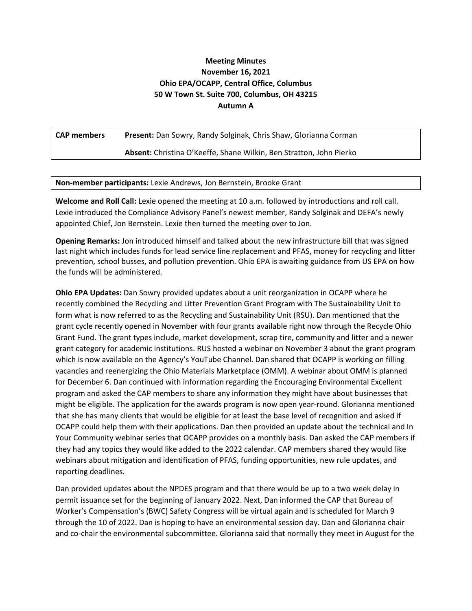## **Meeting Minutes November 16, 2021 Ohio EPA/OCAPP, Central Office, Columbus 50 W Town St. Suite 700, Columbus, OH 43215 Autumn A**

**CAP members Present:** Dan Sowry, Randy Solginak, Chris Shaw, Glorianna Corman

**Absent:** Christina O'Keeffe, Shane Wilkin, Ben Stratton, John Pierko

**Non-member participants:** Lexie Andrews, Jon Bernstein, Brooke Grant

**Welcome and Roll Call:** Lexie opened the meeting at 10 a.m. followed by introductions and roll call. Lexie introduced the Compliance Advisory Panel's newest member, Randy Solginak and DEFA's newly appointed Chief, Jon Bernstein. Lexie then turned the meeting over to Jon.

**Opening Remarks:** Jon introduced himself and talked about the new infrastructure bill that was signed last night which includes funds for lead service line replacement and PFAS, money for recycling and litter prevention, school busses, and pollution prevention. Ohio EPA is awaiting guidance from US EPA on how the funds will be administered.

**Ohio EPA Updates:** Dan Sowry provided updates about a unit reorganization in OCAPP where he recently combined the Recycling and Litter Prevention Grant Program with The Sustainability Unit to form what is now referred to as the Recycling and Sustainability Unit (RSU). Dan mentioned that the grant cycle recently opened in November with four grants available right now through the Recycle Ohio Grant Fund. The grant types include, market development, scrap tire, community and litter and a newer grant category for academic institutions. RUS hosted a webinar on November 3 about the grant program which is now available on the Agency's YouTube Channel. Dan shared that OCAPP is working on filling vacancies and reenergizing the Ohio Materials Marketplace (OMM). A webinar about OMM is planned for December 6. Dan continued with information regarding the Encouraging Environmental Excellent program and asked the CAP members to share any information they might have about businesses that might be eligible. The application for the awards program is now open year-round. Glorianna mentioned that she has many clients that would be eligible for at least the base level of recognition and asked if OCAPP could help them with their applications. Dan then provided an update about the technical and In Your Community webinar series that OCAPP provides on a monthly basis. Dan asked the CAP members if they had any topics they would like added to the 2022 calendar. CAP members shared they would like webinars about mitigation and identification of PFAS, funding opportunities, new rule updates, and reporting deadlines.

Dan provided updates about the NPDES program and that there would be up to a two week delay in permit issuance set for the beginning of January 2022. Next, Dan informed the CAP that Bureau of Worker's Compensation's (BWC) Safety Congress will be virtual again and is scheduled for March 9 through the 10 of 2022. Dan is hoping to have an environmental session day. Dan and Glorianna chair and co-chair the environmental subcommittee. Glorianna said that normally they meet in August for the